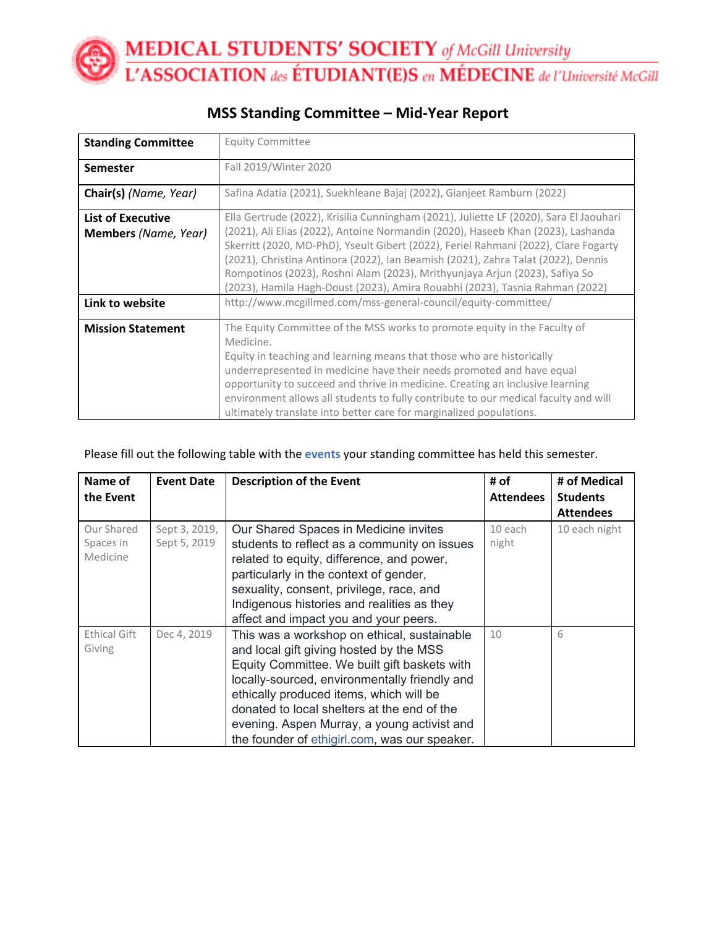**MEDICAL STUDENTS' SOCIETY** of McGill University<br>L'ASSOCIATION des ÉTUDIANT(E)S en MÉDECINE de l'Université McGill

| <b>Standing Committee</b>                               | <b>Equity Committee</b>                                                                                                                                                                                                                                                                                                                                                                                                                                                                                               |
|---------------------------------------------------------|-----------------------------------------------------------------------------------------------------------------------------------------------------------------------------------------------------------------------------------------------------------------------------------------------------------------------------------------------------------------------------------------------------------------------------------------------------------------------------------------------------------------------|
| <b>Semester</b>                                         | Fall 2019/Winter 2020                                                                                                                                                                                                                                                                                                                                                                                                                                                                                                 |
| Chair(s) (Name, Year)                                   | Safina Adatia (2021), Suekhleane Bajaj (2022), Gianjeet Ramburn (2022)                                                                                                                                                                                                                                                                                                                                                                                                                                                |
| <b>List of Executive</b><br><b>Members</b> (Name, Year) | Ella Gertrude (2022), Krisilia Cunningham (2021), Juliette LF (2020), Sara El Jaouhari<br>(2021), Ali Elias (2022), Antoine Normandin (2020), Haseeb Khan (2023), Lashanda<br>Skerritt (2020, MD-PhD), Yseult Gibert (2022), Feriel Rahmani (2022), Clare Fogarty<br>(2021), Christina Antinora (2022), Ian Beamish (2021), Zahra Talat (2022), Dennis<br>Rompotinos (2023), Roshni Alam (2023), Mrithyunjaya Arjun (2023), Safiya So<br>(2023), Hamila Hagh-Doust (2023), Amira Rouabhi (2023), Tasnia Rahman (2022) |
| Link to website                                         | http://www.mcgillmed.com/mss-general-council/equity-committee/                                                                                                                                                                                                                                                                                                                                                                                                                                                        |
| <b>Mission Statement</b>                                | The Equity Committee of the MSS works to promote equity in the Faculty of<br>Medicine.<br>Equity in teaching and learning means that those who are historically<br>underrepresented in medicine have their needs promoted and have equal<br>opportunity to succeed and thrive in medicine. Creating an inclusive learning<br>environment allows all students to fully contribute to our medical faculty and will<br>ultimately translate into better care for marginalized populations.                               |

## **MSS Standing Committee – Mid-Year Report**

### Please fill out the following table with the **events** your standing committee has held this semester.

| Name of<br>the Event                | <b>Event Date</b>             | <b>Description of the Event</b>                                                                                                                                                                                                                                                                                                                                                   | # of<br><b>Attendees</b> | # of Medical<br><b>Students</b><br><b>Attendees</b> |
|-------------------------------------|-------------------------------|-----------------------------------------------------------------------------------------------------------------------------------------------------------------------------------------------------------------------------------------------------------------------------------------------------------------------------------------------------------------------------------|--------------------------|-----------------------------------------------------|
| Our Shared<br>Spaces in<br>Medicine | Sept 3, 2019,<br>Sept 5, 2019 | Our Shared Spaces in Medicine invites<br>students to reflect as a community on issues<br>related to equity, difference, and power,<br>particularly in the context of gender,<br>sexuality, consent, privilege, race, and<br>Indigenous histories and realities as they<br>affect and impact you and your peers.                                                                   | 10 each<br>night         | 10 each night                                       |
| <b>Ethical Gift</b><br>Giving       | Dec 4, 2019                   | This was a workshop on ethical, sustainable<br>and local gift giving hosted by the MSS<br>Equity Committee. We built gift baskets with<br>locally-sourced, environmentally friendly and<br>ethically produced items, which will be<br>donated to local shelters at the end of the<br>evening. Aspen Murray, a young activist and<br>the founder of ethigirl.com, was our speaker. | 10                       | 6                                                   |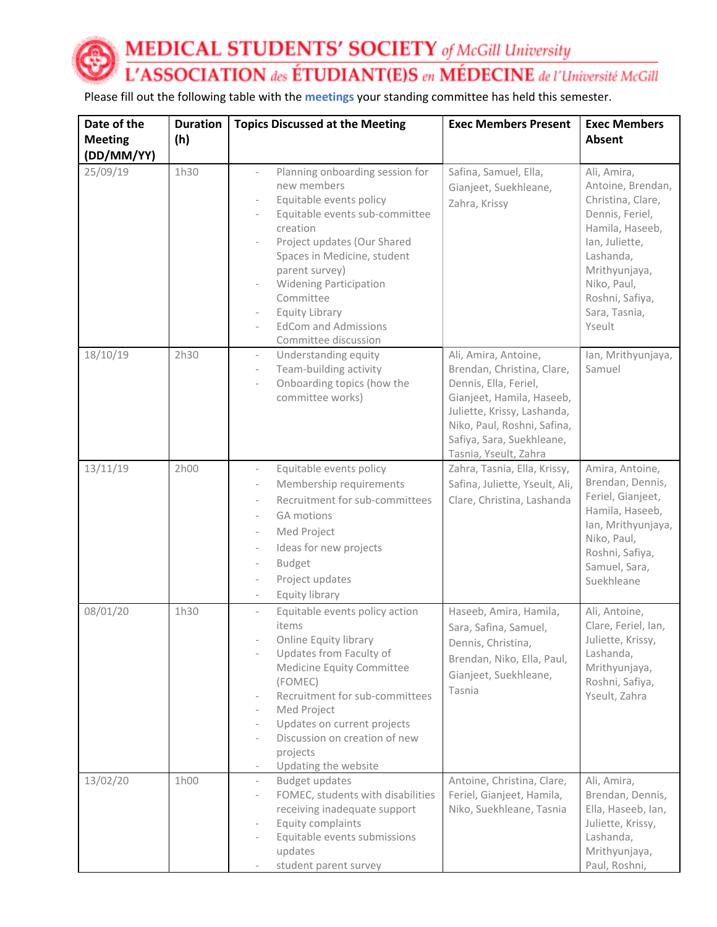**MEDICAL STUDENTS' SOCIETY** of McGill University L'ASSOCIATION des ÉTUDIANT(E)S en MÉDECINE de l'Université McGill

Please fill out the following table with the **meetings** your standing committee has held this semester.

| Date of the<br><b>Meeting</b> | <b>Duration</b><br>(h) | <b>Topics Discussed at the Meeting</b>                                                                                                                                                                                                                                                                                                                                                    | <b>Exec Members Present</b>                                                                                                                                                                                                  | <b>Exec Members</b><br>Absent                                                                                                                                                                            |
|-------------------------------|------------------------|-------------------------------------------------------------------------------------------------------------------------------------------------------------------------------------------------------------------------------------------------------------------------------------------------------------------------------------------------------------------------------------------|------------------------------------------------------------------------------------------------------------------------------------------------------------------------------------------------------------------------------|----------------------------------------------------------------------------------------------------------------------------------------------------------------------------------------------------------|
| (DD/MM/YY)<br>25/09/19        | 1h30                   | Planning onboarding session for<br>$\overline{\phantom{a}}$<br>new members<br>Equitable events policy<br>Equitable events sub-committee<br>creation<br>Project updates (Our Shared<br>Spaces in Medicine, student<br>parent survey)<br><b>Widening Participation</b><br>Committee<br><b>Equity Library</b><br><b>EdCom and Admissions</b><br>Committee discussion                         | Safina, Samuel, Ella,<br>Gianjeet, Suekhleane,<br>Zahra, Krissy                                                                                                                                                              | Ali, Amira,<br>Antoine, Brendan,<br>Christina, Clare,<br>Dennis, Feriel,<br>Hamila, Haseeb,<br>Ian, Juliette,<br>Lashanda,<br>Mrithyunjaya,<br>Niko, Paul,<br>Roshni, Safiya,<br>Sara, Tasnia,<br>Yseult |
| 18/10/19                      | 2h30                   | Understanding equity<br>$\frac{1}{2}$<br>Team-building activity<br>$\overline{\phantom{a}}$<br>Onboarding topics (how the<br>committee works)                                                                                                                                                                                                                                             | Ali, Amira, Antoine,<br>Brendan, Christina, Clare,<br>Dennis, Ella, Feriel,<br>Gianjeet, Hamila, Haseeb,<br>Juliette, Krissy, Lashanda,<br>Niko, Paul, Roshni, Safina,<br>Safiya, Sara, Suekhleane,<br>Tasnia, Yseult, Zahra | lan, Mrithyunjaya,<br>Samuel                                                                                                                                                                             |
| 13/11/19                      | 2h00                   | Equitable events policy<br>$\frac{1}{2}$<br>Membership requirements<br>$\overline{\phantom{0}}$<br>Recruitment for sub-committees<br>$\overline{\phantom{a}}$<br><b>GA motions</b><br>$\overline{\phantom{a}}$<br>Med Project<br>Ideas for new projects<br>$\qquad \qquad -$<br><b>Budget</b><br>$\qquad \qquad -$<br>Project updates<br>$\overline{\phantom{a}}$<br>Equity library       | Zahra, Tasnia, Ella, Krissy,<br>Safina, Juliette, Yseult, Ali,<br>Clare, Christina, Lashanda                                                                                                                                 | Amira, Antoine,<br>Brendan, Dennis,<br>Feriel, Gianjeet,<br>Hamila, Haseeb,<br>Ian, Mrithyunjaya,<br>Niko, Paul,<br>Roshni, Safiya,<br>Samuel, Sara,<br>Suekhleane                                       |
| 08/01/20                      | 1h30                   | Equitable events policy action<br>$\bar{ }$<br>items<br>Online Equity library<br>Updates from Faculty of<br>Medicine Equity Committee<br>(FOMEC)<br>Recruitment for sub-committees<br>Med Project<br>$\overline{\phantom{a}}$<br>Updates on current projects<br>$\overline{\phantom{a}}$<br>Discussion on creation of new<br>projects<br>Updating the website<br>$\overline{\phantom{a}}$ | Haseeb, Amira, Hamila,<br>Sara, Safina, Samuel,<br>Dennis, Christina,<br>Brendan, Niko, Ella, Paul,<br>Gianjeet, Suekhleane,<br>Tasnia                                                                                       | Ali, Antoine,<br>Clare, Feriel, Ian,<br>Juliette, Krissy,<br>Lashanda,<br>Mrithyunjaya,<br>Roshni, Safiya,<br>Yseult, Zahra                                                                              |
| 13/02/20                      | 1h00                   | <b>Budget updates</b><br>$\overline{\phantom{a}}$<br>FOMEC, students with disabilities<br>$\overline{\phantom{a}}$<br>receiving inadequate support<br>Equity complaints<br>$\overline{\phantom{a}}$<br>Equitable events submissions<br>updates<br>student parent survey<br>$\qquad \qquad -$                                                                                              | Antoine, Christina, Clare,<br>Feriel, Gianjeet, Hamila,<br>Niko, Suekhleane, Tasnia                                                                                                                                          | Ali, Amira,<br>Brendan, Dennis,<br>Ella, Haseeb, Ian,<br>Juliette, Krissy,<br>Lashanda,<br>Mrithyunjaya,<br>Paul, Roshni,                                                                                |